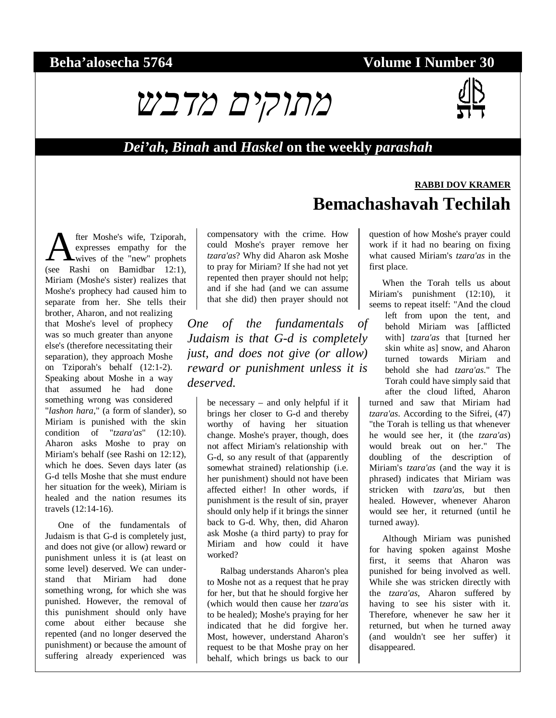#### **Beha'alosecha 5764 Volume I Number 30**



#### *Dei'ah***,** *Binah* **and** *Haskel* **on the weekly** *parashah*

#### fter Moshe's wife, Tziporah, expresses empathy for the wives of the "new" prophets **A** fter Moshe's wife, Tziporah,<br>expresses empathy for the<br>(see Rashi on Bamidbar 12:1), Miriam (Moshe's sister) realizes that Moshe's prophecy had caused him to separate from her. She tells their brother, Aharon, and not realizing that Moshe's level of prophecy was so much greater than anyone else's (therefore necessitating their separation), they approach Moshe on Tziporah's behalf (12:1-2). Speaking about Moshe in a way that assumed he had done something wrong was considered "*lashon hara*," (a form of slander), so Miriam is punished with the skin condition of "*tzara'as*" (12:10). Aharon asks Moshe to pray on Miriam's behalf (see Rashi on 12:12), which he does. Seven days later (as G-d tells Moshe that she must endure her situation for the week), Miriam is healed and the nation resumes its travels (12:14-16).

One of the fundamentals of Judaism is that G-d is completely just, and does not give (or allow) reward or punishment unless it is (at least on some level) deserved. We can understand that Miriam had done something wrong, for which she was punished. However, the removal of this punishment should only have come about either because she repented (and no longer deserved the punishment) or because the amount of suffering already experienced was

compensatory with the crime. How could Moshe's prayer remove her *tzara'as*? Why did Aharon ask Moshe to pray for Miriam? If she had not yet repented then prayer should not help; and if she had (and we can assume that she did) then prayer should not

*One of the fundamentals of Judaism is that G-d is completely just, and does not give (or allow) reward or punishment unless it is deserved.* 

> be necessary – and only helpful if it brings her closer to G-d and thereby worthy of having her situation change. Moshe's prayer, though, does not affect Miriam's relationship with G-d, so any result of that (apparently somewhat strained) relationship (i.e. her punishment) should not have been affected either! In other words, if punishment is the result of sin, prayer should only help if it brings the sinner back to G-d. Why, then, did Aharon ask Moshe (a third party) to pray for Miriam and how could it have worked?

> Ralbag understands Aharon's plea to Moshe not as a request that he pray for her, but that he should forgive her (which would then cause her *tzara'as* to be healed); Moshe's praying for her indicated that he did forgive her. Most, however, understand Aharon's request to be that Moshe pray on her behalf, which brings us back to our

# **Bemachashavah Techilah**  question of how Moshe's prayer could

work if it had no bearing on fixing what caused Miriam's *tzara'as* in the first place.

**RABBI DOV KRAMER**

When the Torah tells us about Miriam's punishment (12:10), it seems to repeat itself: "And the cloud

left from upon the tent, and behold Miriam was [afflicted with] *tzara'as* that [turned her skin white as] snow, and Aharon turned towards Miriam and behold she had *tzara'as*." The Torah could have simply said that after the cloud lifted, Aharon

turned and saw that Miriam had *tzara'as*. According to the Sifrei, (47) "the Torah is telling us that whenever he would see her, it (the *tzara'as*) would break out on her." The doubling of the description of Miriam's *tzara'as* (and the way it is phrased) indicates that Miriam was stricken with *tzara'as*, but then healed. However, whenever Aharon would see her, it returned (until he turned away).

Although Miriam was punished for having spoken against Moshe first, it seems that Aharon was punished for being involved as well. While she was stricken directly with the *tzara'as*, Aharon suffered by having to see his sister with it. Therefore, whenever he saw her it returned, but when he turned away (and wouldn't see her suffer) it disappeared.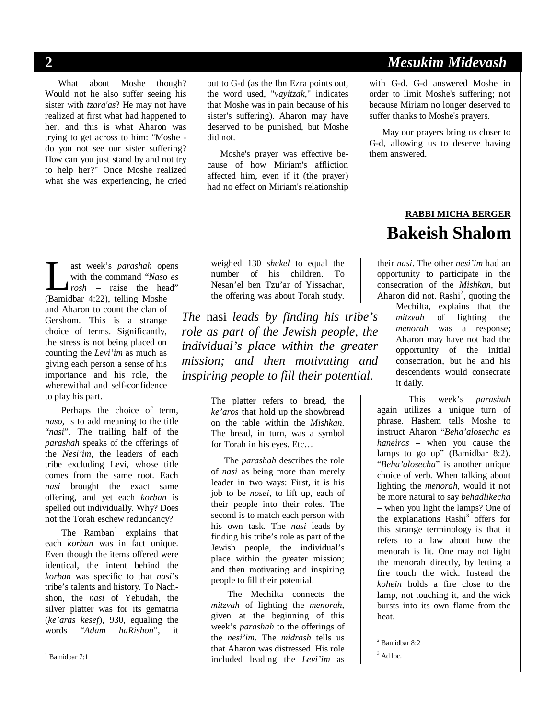What about Moshe though? Would not he also suffer seeing his sister with *tzara'as*? He may not have realized at first what had happened to her, and this is what Aharon was trying to get across to him: "Moshe do you not see our sister suffering? How can you just stand by and not try to help her?" Once Moshe realized what she was experiencing, he cried out to G-d (as the Ibn Ezra points out, the word used, "*vayitzak*," indicates that Moshe was in pain because of his sister's suffering). Aharon may have deserved to be punished, but Moshe did not.

Moshe's prayer was effective because of how Miriam's affliction affected him, even if it (the prayer) had no effect on Miriam's relationship

ast week's *parashah* opens with the command "*Naso es rosh* – raise the head" ast week's *parashah* ope<br>with the command "Naso<br>rosh – raise the hea<br>(Bamidbar 4:22), telling Moshe and Aharon to count the clan of Gershom. This is a strange choice of terms. Significantly, the stress is not being placed on counting the *Levi'im* as much as giving each person a sense of his importance and his role, the wherewithal and self-confidence to play his part.

Perhaps the choice of term, *naso*, is to add meaning to the title "*nasi*". The trailing half of the *parashah* speaks of the offerings of the *Nesi'im*, the leaders of each tribe excluding Levi, whose title comes from the same root. Each *nasi* brought the exact same offering, and yet each *korban* is spelled out individually. Why? Does not the Torah eschew redundancy?

The Ramban<sup>1</sup> explains that each *korban* was in fact unique. Even though the items offered were identical, the intent behind the *korban* was specific to that *nasi*'s tribe's talents and history. To Nachshon, the *nasi* of Yehudah, the silver platter was for its gematria (*ke'aras kesef*), 930, equaling the words "*Adam haRishon*", it

weighed 130 *shekel* to equal the number of his children. To Nesan'el ben Tzu'ar of Yissachar, the offering was about Torah study.

*The* nasi *leads by finding his tribe's role as part of the Jewish people, the individual's place within the greater mission; and then motivating and inspiring people to fill their potential.* 

> The platter refers to bread, the *ke'aros* that hold up the showbread on the table within the *Mishkan*. The bread, in turn, was a symbol for Torah in his eyes. Etc…

> The *parashah* describes the role of *nasi* as being more than merely leader in two ways: First, it is his job to be *nosei*, to lift up, each of their people into their roles. The second is to match each person with his own task. The *nasi* leads by finding his tribe's role as part of the Jewish people, the individual's place within the greater mission; and then motivating and inspiring people to fill their potential.

> The Mechilta connects the *mitzvah* of lighting the *menorah*, given at the beginning of this week's *parashah* to the offerings of the *nesi'im*. The *midrash* tells us that Aharon was distressed. His role included leading the *Levi'im* as

#### **2** *Mesukim Midevash*

with G-d. G-d answered Moshe in order to limit Moshe's suffering; not because Miriam no longer deserved to suffer thanks to Moshe's prayers.

May our prayers bring us closer to G-d, allowing us to deserve having them answered.

#### **RABBI MICHA BERGER Bakeish Shalom**

their *nasi*. The other *nesi'im* had an opportunity to participate in the consecration of the *Mishkan*, but Aharon did not.  $Rashi<sup>2</sup>$ , quoting the

Mechilta, explains that the *mitzvah* of lighting the *mitzvah* of lighting the *menorah* was a response; Aharon may have not had the opportunity of the initial consecration, but he and his descendents would consecrate it daily.

This week's *parashah* again utilizes a unique turn of phrase. Hashem tells Moshe to instruct Aharon "*Beha'alosecha es haneiros* – when you cause the lamps to go up" (Bamidbar 8:2). "*Beha'alosecha*" is another unique choice of verb. When talking about lighting the *menorah*, would it not be more natural to say *behadlikecha* – when you light the lamps? One of the explanations Rashi<sup>3</sup> offers for this strange terminology is that it refers to a law about how the menorah is lit. One may not light the menorah directly, by letting a fire touch the wick. Instead the *kohein* holds a fire close to the lamp, not touching it, and the wick bursts into its own flame from the heat.

2 Bamidbar 8:2

 $3$  Ad loc.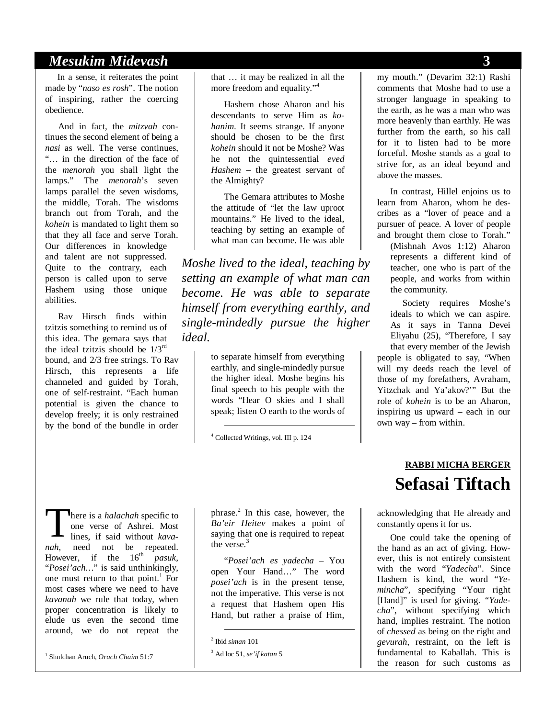#### *Mesukim Midevash* **3**

In a sense, it reiterates the point made by "*naso es rosh*". The notion of inspiring, rather the coercing obedience.

And in fact, the *mitzvah* continues the second element of being a *nasi* as well. The verse continues, "… in the direction of the face of the *menorah* you shall light the lamps." The *menorah*'s seven lamps parallel the seven wisdoms, the middle, Torah. The wisdoms branch out from Torah, and the *kohein* is mandated to light them so that they all face and serve Torah. Our differences in knowledge and talent are not suppressed. Quite to the contrary, each person is called upon to serve Hashem using those unique abilities.

Rav Hirsch finds within tzitzis something to remind us of this idea. The gemara says that the ideal tzitzis should be  $1/3^{rd}$ bound, and 2/3 free strings. To Rav Hirsch, this represents a life channeled and guided by Torah, one of self-restraint. "Each human potential is given the chance to develop freely; it is only restrained by the bond of the bundle in order

that … it may be realized in all the more freedom and equality."<sup>4</sup>

Hashem chose Aharon and his descendants to serve Him as *kohanim*. It seems strange. If anyone should be chosen to be the first *kohein* should it not be Moshe? Was he not the quintessential *eved Hashem* – the greatest servant of the Almighty?

The Gemara attributes to Moshe the attitude of "let the law uproot mountains." He lived to the ideal, teaching by setting an example of what man can become. He was able

*Moshe lived to the ideal, teaching by setting an example of what man can become. He was able to separate himself from everything earthly, and single-mindedly pursue the higher ideal.* 

> to separate himself from everything earthly, and single-mindedly pursue the higher ideal. Moshe begins his final speech to his people with the words "Hear O skies and I shall speak; listen O earth to the words of

4 Collected Writings, vol. III p. 124

here is a *halachah* specific to one verse of Ashrei. Most lines, if said without *kavanah*, need not be repeated. However, if the 16<sup>th</sup> *pasuk*, "*Posei'ach…*" is said unthinkingly, one must return to that point.<sup>1</sup> For most cases where we need to have *kavanah* we rule that today, when proper concentration is likely to elude us even the second time around, we do not repeat the  $\prod_{n\neq n}$ 

1 Shulchan Aruch, *Orach Chaim* 51:7

phrase.<sup>2</sup> In this case, however, the *Ba'eir Heitev* makes a point of saying that one is required to repeat the verse. $3$ 

"*Posei'ach es yadecha* – You open Your Hand…" The word *posei'ach* is in the present tense, not the imperative. This verse is not a request that Hashem open His Hand, but rather a praise of Him,

my mouth." (Devarim 32:1) Rashi comments that Moshe had to use a stronger language in speaking to the earth, as he was a man who was more heavenly than earthly. He was further from the earth, so his call for it to listen had to be more forceful. Moshe stands as a goal to strive for, as an ideal beyond and above the masses.

In contrast, Hillel enjoins us to learn from Aharon, whom he describes as a "lover of peace and a pursuer of peace. A lover of people and brought them close to Torah."

(Mishnah Avos 1:12) Aharon represents a different kind of teacher, one who is part of the people, and works from within the community.

Society requires Moshe's ideals to which we can aspire. As it says in Tanna Devei Eliyahu (25), "Therefore, I say that every member of the Jewish

people is obligated to say, "When will my deeds reach the level of those of my forefathers, Avraham, Yitzchak and Ya'akov?'" But the role of *kohein* is to be an Aharon, inspiring us upward – each in our own way – from within.

### **RABBI MICHA BERGER Sefasai Tiftach**

acknowledging that He already and constantly opens it for us.

One could take the opening of the hand as an act of giving. However, this is not entirely consistent with the word "*Yadecha*". Since Hashem is kind, the word "*Yemincha*", specifying "Your right [Hand]" is used for giving. *"Yadecha*", without specifying which hand, implies restraint. The notion of *chessed* as being on the right and *gevurah*, restraint, on the left is fundamental to Kaballah. This is the reason for such customs as

 <sup>2</sup> Ibid *siman* 101

<sup>3</sup> Ad loc 51, *se'if katan* 5